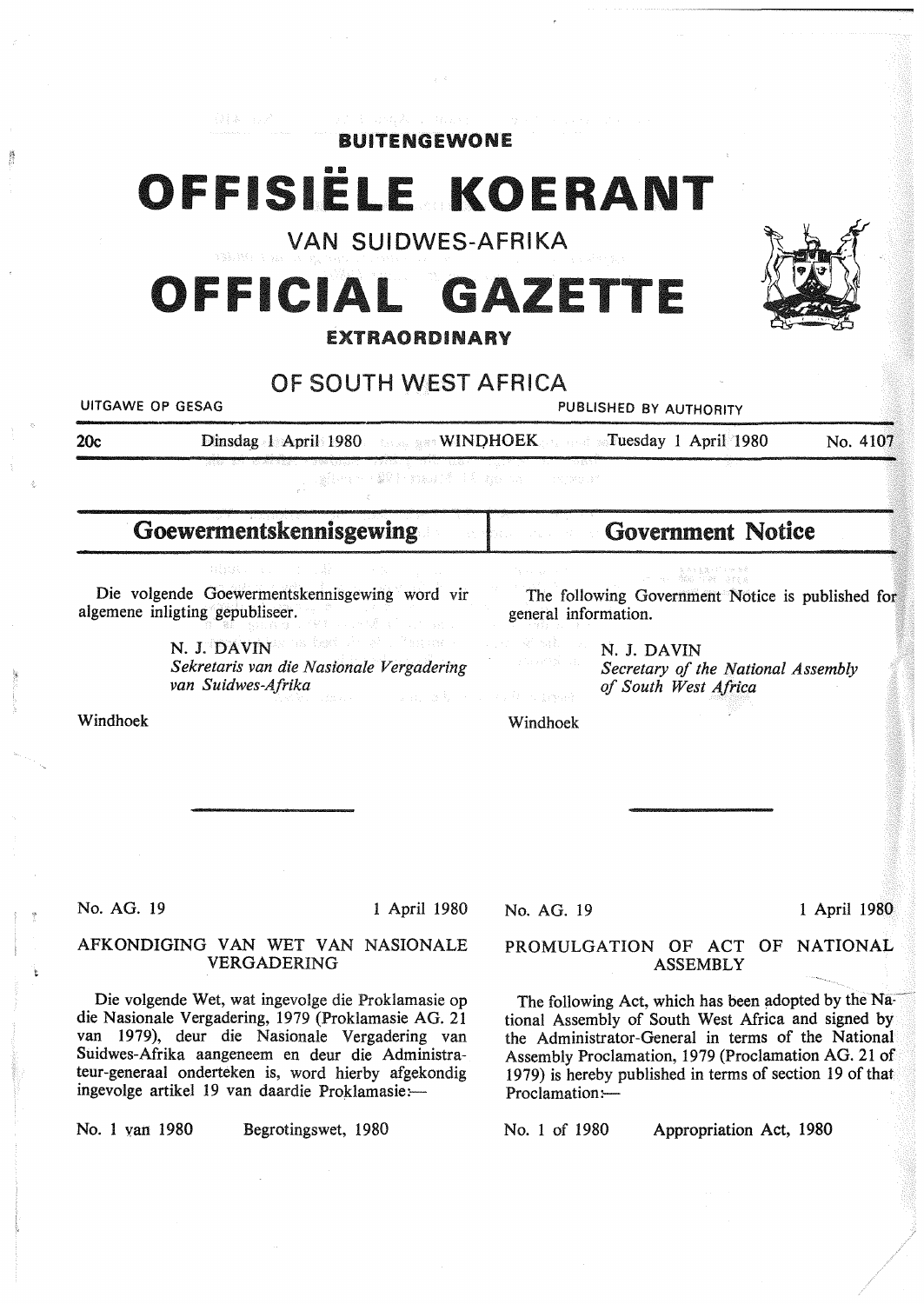| 海藻 おんしょうしょく にゅうきょ ゆかし しゅったいしゅ<br><b>BUITENGEWONE</b>                                                                                                                                                                                                                                                                                                                                                |
|-----------------------------------------------------------------------------------------------------------------------------------------------------------------------------------------------------------------------------------------------------------------------------------------------------------------------------------------------------------------------------------------------------|
|                                                                                                                                                                                                                                                                                                                                                                                                     |
| OFFISIELE KOERANT                                                                                                                                                                                                                                                                                                                                                                                   |
| <b>VAN SUIDWES-AFRIKA</b>                                                                                                                                                                                                                                                                                                                                                                           |
| OFFICIAL GAZETTE                                                                                                                                                                                                                                                                                                                                                                                    |
| <b>EXTRAORDINARY</b>                                                                                                                                                                                                                                                                                                                                                                                |
| OF SOUTH WEST AFRICA                                                                                                                                                                                                                                                                                                                                                                                |
| PUBLISHED BY AUTHORITY                                                                                                                                                                                                                                                                                                                                                                              |
| Dinsdag 1 April 1980 <b>State WINDHOEK State States 1 April 1980</b><br>No. 4107                                                                                                                                                                                                                                                                                                                    |
| 新規のイント 2001 Formation また Web Co.<br>13 THUE                                                                                                                                                                                                                                                                                                                                                         |
| <b>Government Notice</b>                                                                                                                                                                                                                                                                                                                                                                            |
| The following Government Notice is published for<br>general information.<br>그는 아직 없다.<br>N. J. DAVIN<br>Secretary of the National Assembly<br>of South West Africa<br>n an Dùbhann an Dùbhann an Dùbhann an Dùbhann an Dùbhann an Dùbhann an Dùbhann an Dùbhann an Dùbhann an Dùbhann an Dùbhann an Dùbhann an Dùbhann an Dùbhann an Dùbhann an Dùbhann an Dùbhann an Dùbhann an Dùbhann an Dùbhann |
| Windhoek                                                                                                                                                                                                                                                                                                                                                                                            |
| 1 April 1980<br>No. AG. 19                                                                                                                                                                                                                                                                                                                                                                          |
| PROMULGATION OF ACT OF NATIONAL<br><b>ASSEMBLY</b>                                                                                                                                                                                                                                                                                                                                                  |
| The following Act, which has been adopted by the Na-<br>tional Assembly of South West Africa and signed by<br>the Administrator-General in terms of the National<br>Assembly Proclamation, 1979 (Proclamation AG. 21 of<br>1979) is hereby published in terms of section 19 of that<br>Proclamation:-<br>No. 1 of 1980<br>Appropriation Act, 1980                                                   |
|                                                                                                                                                                                                                                                                                                                                                                                                     |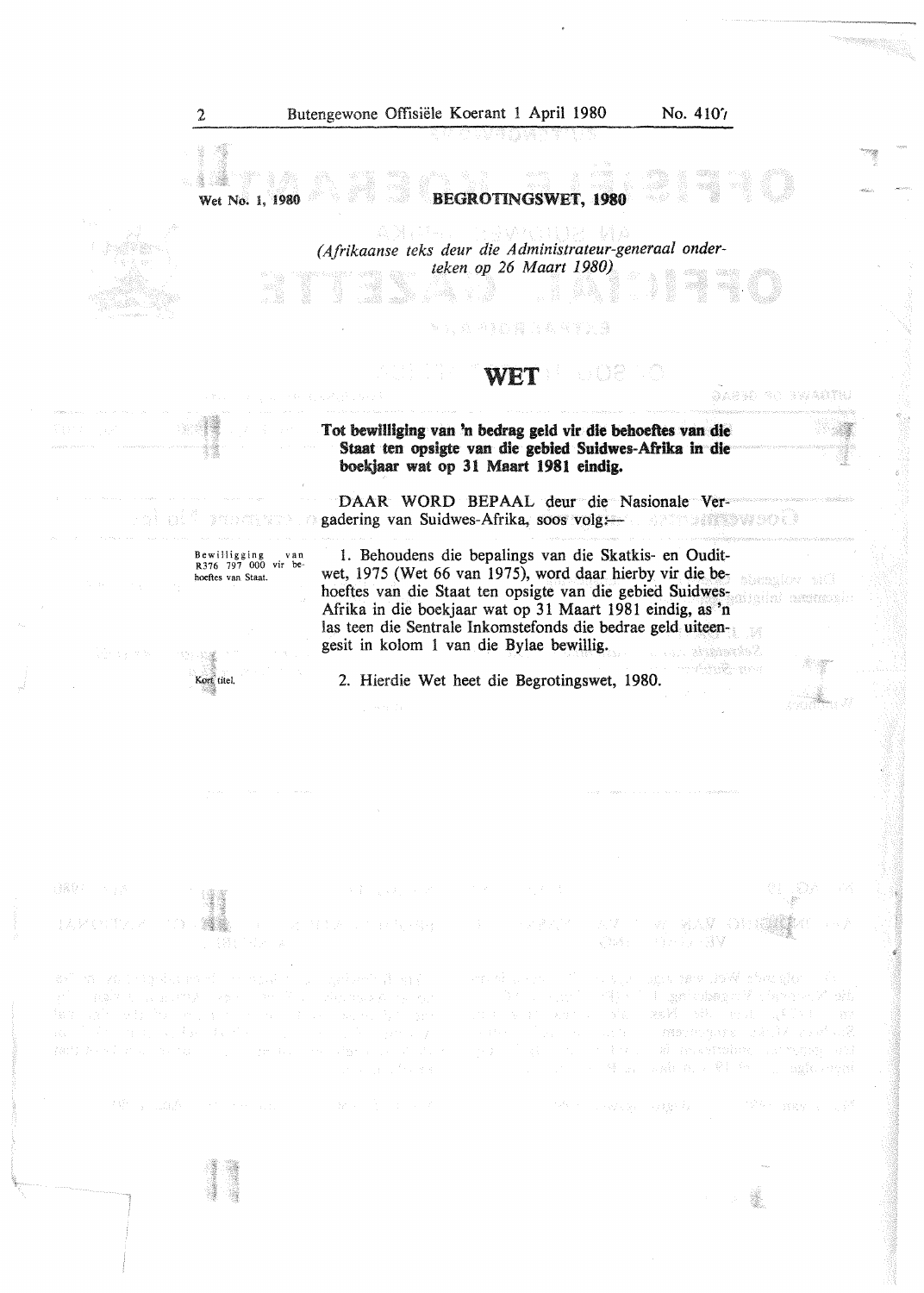Ŵ,

 $\alpha\beta\alpha\beta\beta$ 

DARNO SO BWARTHU

a a facto de objeto a compañente

- 南京羅 - 今村 編纂

ages and Web van glori The gradient graph of a state of the state of the

- mennyaka said kabibat

1995. SW

Giron Ballistan<br>Albanya

## BEGROTINGSWET, **1980**

*(Afrikaanse teks deur die Administrateur-generaal onderteken op 26 Maart 1980)* 

#### WET 등 하 함

#### Tot bewilliging van 'n bedrag geld vir die behoeftes van die Staat ten opsigte van die gebied Suldwes-Afrika in die boekjaar wat op 31 Maart 1981 eindig.

DAAR WORD BEPAAL deur die Nasionale Vergadering van Suidwes-Afrika, soos volg:

1. Behoudens die bepalings van die Skatkis- en Ouditwet, 1975 (Wet 66 van 1975), word daar hierby vir die behoeftes van die Staat ten opsigte van die gebied Suidwes-Afrika in die boekjaar wat op 31 Maart 1981 eindig, as 'n las teen die Sentrale Inkomstefonds die bedrae geld uiteengesit in kolom 1 van die Bylae bewillig. stands?

2. Hierdie Wet beet die Begrotingswet, 1980.

Bewilligging van R376 797 000 vir be· hoeftes van Staal.

83

Kort titel.

Wet No. l, 1980

말했어 :

X.

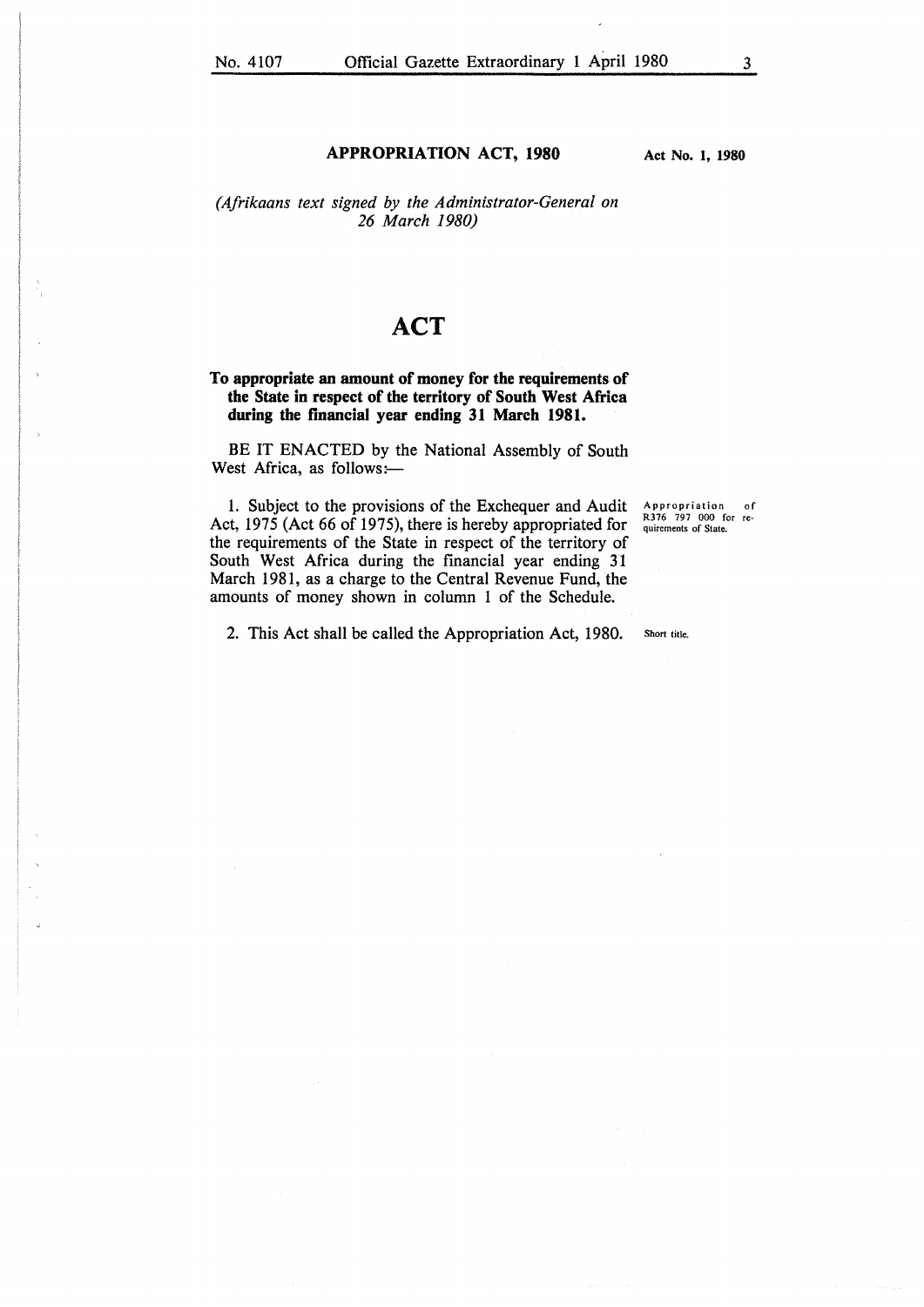#### **APPROPRIATION ACT, 1980**

**Act No. 1, 1980** 

### *(Afrikaans text signed by the Administrator-General on 26 March 1980)*

# **ACT**

#### **To appropriate an amount of money for the requirements of the State in respect of the territory of South West Africa during the financial year ending 31 March 1981.**

BE IT ENACTED by the National Assembly of South West Africa, as follows:-

1. Subject to the provisions of the Exchequer and Audit Act, 1975 (Act 66 of 1975), there is hereby appropriated for the requirements of the State in respect of the territory of South West Africa during the financial year ending 31 March 1981, as a charge to the Central Revenue Fund, the amounts of money shown in column 1 of the Schedule.

Appropriation of R376 797 000 for requirements of State.

2. This Act shall be called the Appropriation Act, 1980.

Short title.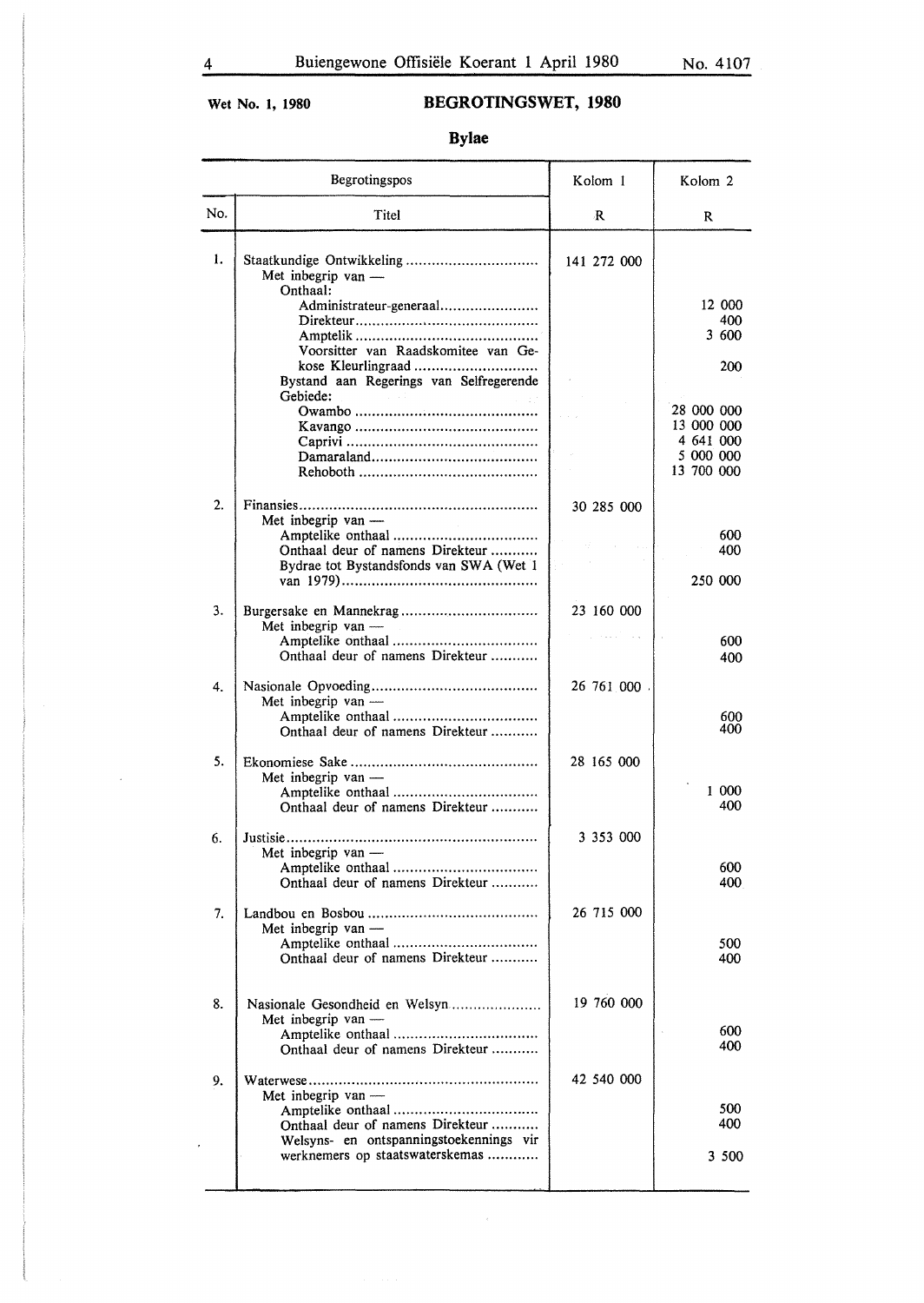$\lambda$ 

# **Wet No. 1, 1980 BEGROTINGSWET, 1980**

**Bylae** 

| Begrotingspos |                                                                            | Kolom 1     | Kolom 2                 |
|---------------|----------------------------------------------------------------------------|-------------|-------------------------|
| No.           | Titel                                                                      | R           | R                       |
| ı.            | Met inbegrip van -<br>Onthaal:                                             | 141 272 000 |                         |
|               | Administrateur-generaal                                                    |             | 12 000                  |
|               |                                                                            |             | 400<br>3 600            |
|               | Voorsitter van Raadskomitee van Ge-                                        |             | 200                     |
|               | Bystand aan Regerings van Selfregerende<br>Gebiede:                        |             |                         |
|               |                                                                            |             | 28 000 000              |
|               |                                                                            |             | 13 000 000<br>4 641 000 |
|               |                                                                            |             | 5 000 000               |
|               |                                                                            |             | 13 700 000              |
| 2.            | Met inbegrip van $-$                                                       | 30 285 000  |                         |
|               | Onthaal deur of namens Direkteur                                           |             | 600<br>400              |
|               | Bydrae tot Bystandsfonds van SWA (Wet 1                                    |             | 250 000                 |
| 3.            | Met inbegrip van $-$                                                       | 23 160 000  |                         |
|               | Onthaal deur of namens Direkteur                                           |             | 600<br>400              |
| 4.            | Met inbegrip van -                                                         | 26 761 000  |                         |
|               | Onthaal deur of namens Direkteur                                           |             | 600<br>400              |
| 5.            | Met inbegrip van -                                                         | 28 165 000  |                         |
|               | Onthaal deur of namens Direkteur                                           |             | 1 000<br>400            |
| 6.            | Met inbegrip van -                                                         | 3 353 000   |                         |
|               |                                                                            |             | 600                     |
|               | Onthaal deur of namens Direkteur                                           |             | 400                     |
| 7.            | Met inbegrip van -                                                         | 26 715 000  |                         |
|               |                                                                            |             | 500                     |
|               | Onthaal deur of namens Direkteur                                           |             | 400                     |
| 8.            | Nasionale Gesondheid en Welsyn                                             | 19 760 000  |                         |
|               | Met inbegrip van -                                                         |             | 600                     |
|               | Onthaal deur of namens Direkteur                                           |             | 400                     |
| 9.            | Met inbegrip van $-$                                                       | 42 540 000  |                         |
|               | Onthaal deur of namens Direkteur                                           |             | 500<br>400              |
|               | Welsyns- en ontspanningstoekennings vir<br>werknemers op staatswaterskemas |             |                         |
|               |                                                                            |             | 3 500                   |
|               |                                                                            |             |                         |

 $\epsilon$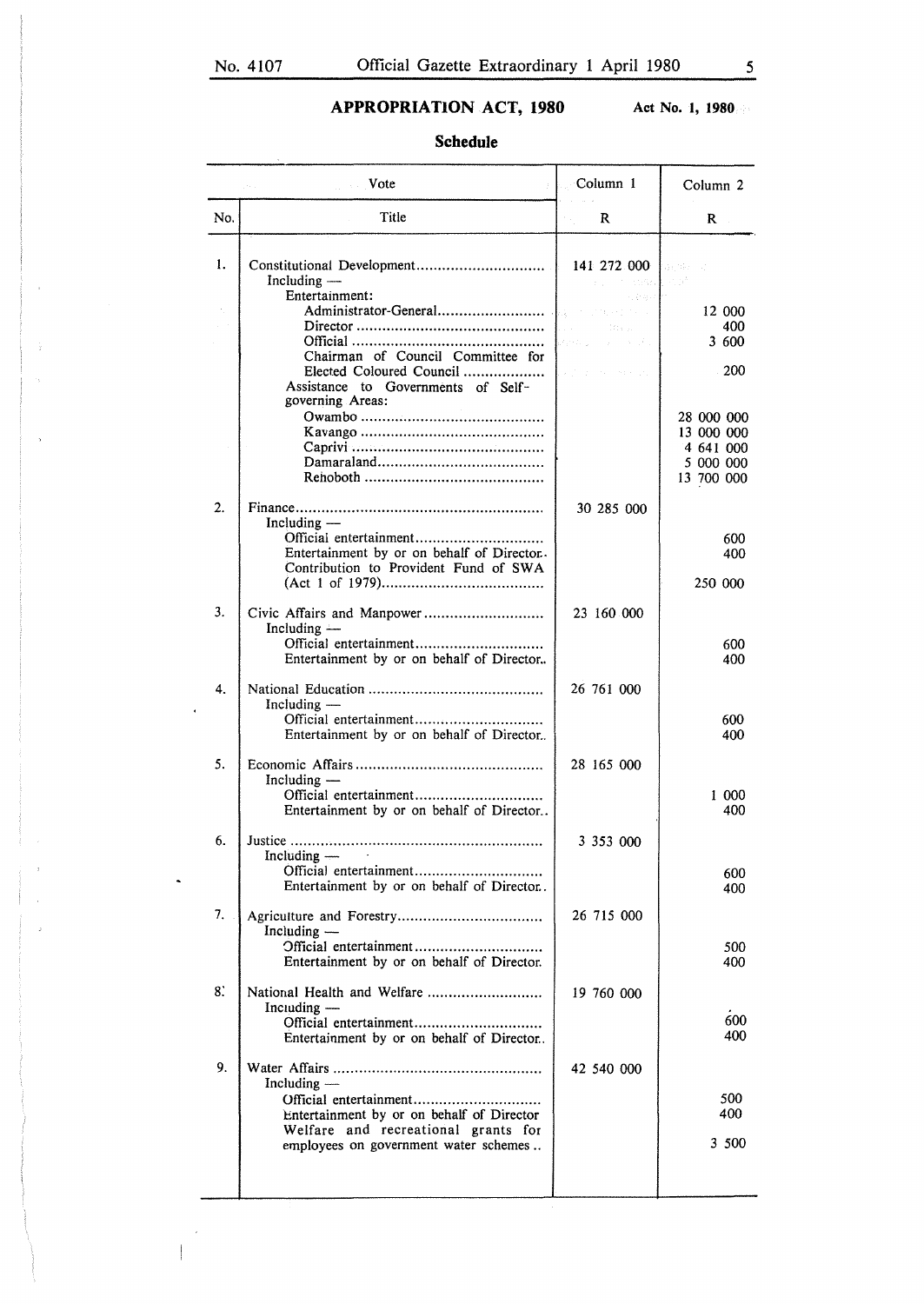$\overline{a}$ 

## **APPROPRIATION ACT, 1980**

**Act No. 1, 1980** 

## **Schedule**

|     | <b>Vote</b>                                                                                                                                | Column 1                                                                                                                      | Column <sub>2</sub>                                              |
|-----|--------------------------------------------------------------------------------------------------------------------------------------------|-------------------------------------------------------------------------------------------------------------------------------|------------------------------------------------------------------|
| No. | Title                                                                                                                                      | R                                                                                                                             | R                                                                |
| 1.  | $Including -$<br>Entertainment:                                                                                                            | 141 272 000 <b>Research</b><br>$\mathbf{r}_{\mathrm{in}} = \mathbf{r}_{\mathrm{in}}$ with $\mathbf{r}_{\mathrm{in}}$<br>31207 |                                                                  |
|     | Administrator-General                                                                                                                      | district of the experience<br><b>Contract</b><br>Change in<br>beren un                                                        | 12 000<br>400<br>3 600                                           |
|     | Chairman of Council Committee for<br>Elected Coloured Council<br>Assistance to Governments of Self-<br>governing Areas:                    | panythen and conservation                                                                                                     | 200                                                              |
|     |                                                                                                                                            |                                                                                                                               | 28 000 000<br>13 000 000<br>4 641 000<br>5 000 000<br>13 700 000 |
| 2.  | Including $-$<br>Entertainment by or on behalf of Director.<br>Contribution to Provident Fund of SWA                                       | 30 285 000                                                                                                                    | 600<br>400                                                       |
|     |                                                                                                                                            |                                                                                                                               | 250 000                                                          |
| 3.  | Including $-$<br>Official entertainment<br>Entertainment by or on behalf of Director                                                       | 23 160 000                                                                                                                    | 600<br>400                                                       |
| 4.  | Including $-$<br>Official entertainment<br>Entertainment by or on behalf of Director                                                       | 26 761 000                                                                                                                    | 600<br>400                                                       |
| 5.  | Including —<br>Official entertainment<br>Entertainment by or on behalf of Director                                                         | 28 165 000                                                                                                                    | 1 000<br>400                                                     |
| 6.  | Including $-$<br>Official entertainment                                                                                                    | 3 353 000                                                                                                                     |                                                                  |
|     | Entertainment by or on behalf of Director.                                                                                                 |                                                                                                                               | 600<br>400                                                       |
| 7.  | Including —<br>Official entertainment<br>Entertainment by or on behalf of Director.                                                        | 26 715 000                                                                                                                    | 500<br>400                                                       |
| 8.  | National Health and Welfare<br>$Incuding$ —<br>Official entertainment<br>Entertainment by or on behalf of Director                         | 19 760 000                                                                                                                    | 600<br>400                                                       |
| 9.  | Including $-$<br>Entertainment by or on behalf of Director<br>Welfare and recreational grants for<br>employees on government water schemes | 42 540 000                                                                                                                    | 500<br>400<br>3 500                                              |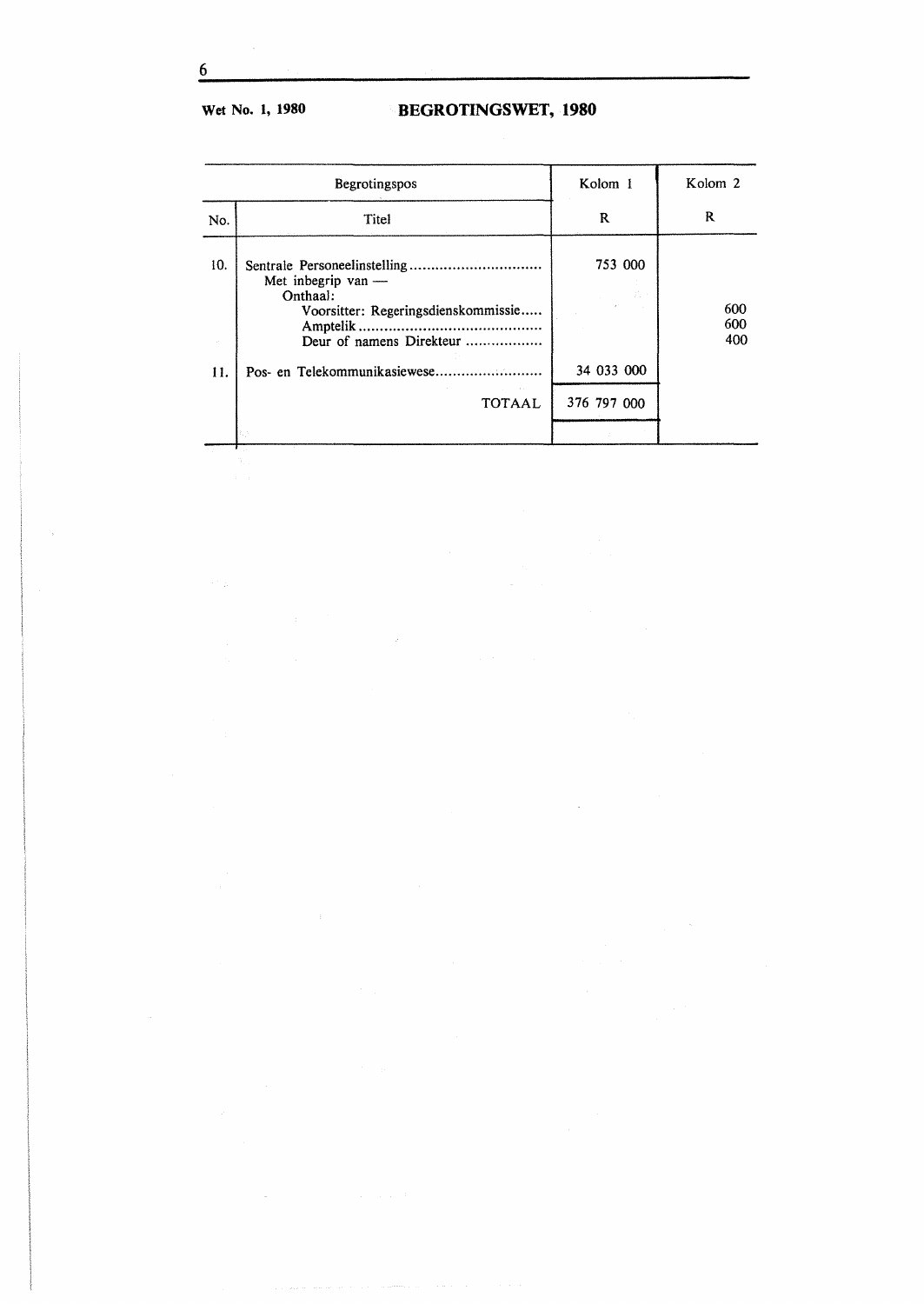# Wet No. 1, 1980 **BEGROTINGSWET, 1980**

| Begrotingspos |                                                                                                   | Kolom 1     | Kolom <sub>2</sub> |
|---------------|---------------------------------------------------------------------------------------------------|-------------|--------------------|
| No.           | Titel                                                                                             | R           | R                  |
| 10.           | Met inbegrip van -<br>Onthaal:<br>Voorsitter: Regeringsdienskommissie<br>Deur of namens Direkteur | 753 000     | 600<br>600<br>400  |
| 11.           |                                                                                                   | 34 033 000  |                    |
|               | <b>Contractor</b><br><b>TOTAAL</b>                                                                | 376 797 000 |                    |
|               |                                                                                                   |             |                    |

 $\bar{\lambda}$ 

6